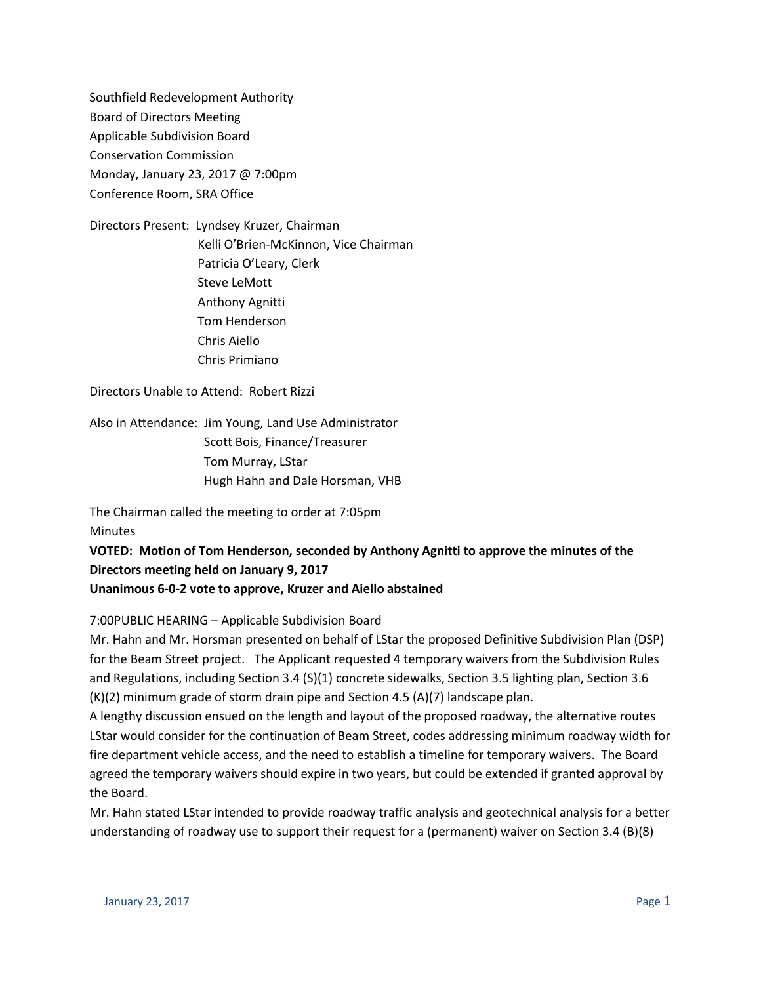Southfield Redevelopment Authority Board of Directors Meeting Applicable Subdivision Board Conservation Commission Monday, January 23, 2017 @ 7:00pm Conference Room, SRA Office

Directors Present: Lyndsey Kruzer, Chairman Kelli O'Brien-McKinnon, Vice Chairman Patricia O'Leary, Clerk Steve LeMott Anthony Agnitti Tom Henderson Chris Aiello Chris Primiano

Directors Unable to Attend: Robert Rizzi

Also in Attendance: Jim Young, Land Use Administrator Scott Bois, Finance/Treasurer Tom Murray, LStar Hugh Hahn and Dale Horsman, VHB

The Chairman called the meeting to order at 7:05pm **Minutes** 

**VOTED: Motion of Tom Henderson, seconded by Anthony Agnitti to approve the minutes of the Directors meeting held on January 9, 2017**

**Unanimous 6-0-2 vote to approve, Kruzer and Aiello abstained**

7:00PUBLIC HEARING – Applicable Subdivision Board

Mr. Hahn and Mr. Horsman presented on behalf of LStar the proposed Definitive Subdivision Plan (DSP) for the Beam Street project. The Applicant requested 4 temporary waivers from the Subdivision Rules and Regulations, including Section 3.4 (S)(1) concrete sidewalks, Section 3.5 lighting plan, Section 3.6 (K)(2) minimum grade of storm drain pipe and Section 4.5 (A)(7) landscape plan.

A lengthy discussion ensued on the length and layout of the proposed roadway, the alternative routes LStar would consider for the continuation of Beam Street, codes addressing minimum roadway width for fire department vehicle access, and the need to establish a timeline for temporary waivers. The Board agreed the temporary waivers should expire in two years, but could be extended if granted approval by the Board.

Mr. Hahn stated LStar intended to provide roadway traffic analysis and geotechnical analysis for a better understanding of roadway use to support their request for a (permanent) waiver on Section 3.4 (B)(8)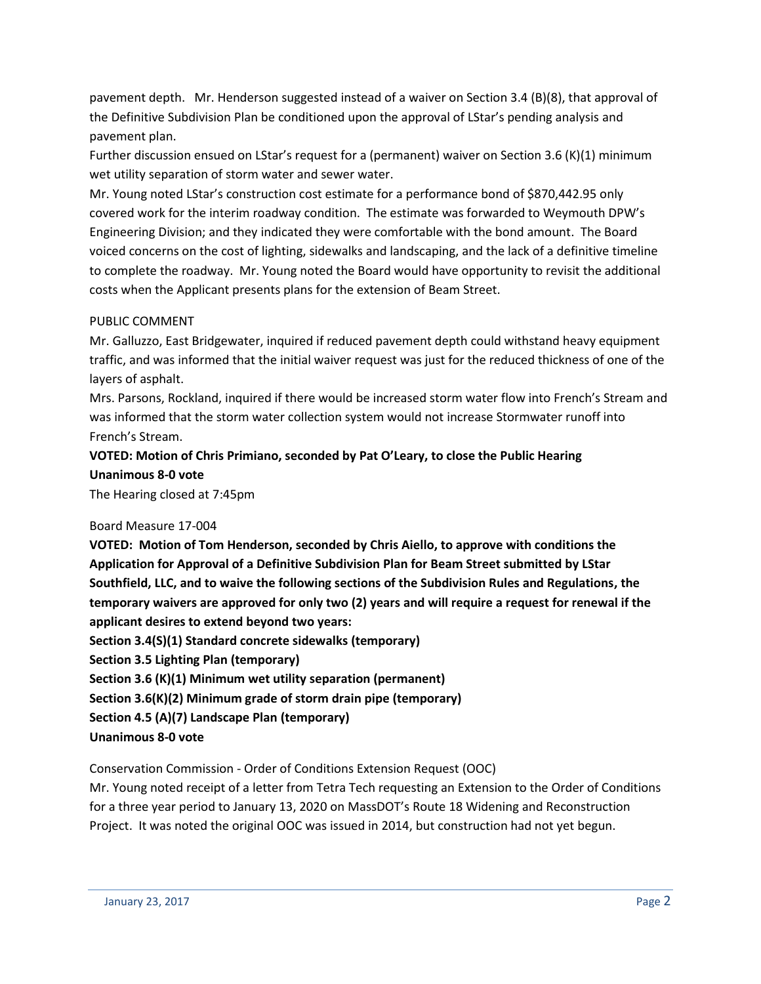pavement depth. Mr. Henderson suggested instead of a waiver on Section 3.4 (B)(8), that approval of the Definitive Subdivision Plan be conditioned upon the approval of LStar's pending analysis and pavement plan.

Further discussion ensued on LStar's request for a (permanent) waiver on Section 3.6 (K)(1) minimum wet utility separation of storm water and sewer water.

Mr. Young noted LStar's construction cost estimate for a performance bond of \$870,442.95 only covered work for the interim roadway condition. The estimate was forwarded to Weymouth DPW's Engineering Division; and they indicated they were comfortable with the bond amount. The Board voiced concerns on the cost of lighting, sidewalks and landscaping, and the lack of a definitive timeline to complete the roadway. Mr. Young noted the Board would have opportunity to revisit the additional costs when the Applicant presents plans for the extension of Beam Street.

## PUBLIC COMMENT

Mr. Galluzzo, East Bridgewater, inquired if reduced pavement depth could withstand heavy equipment traffic, and was informed that the initial waiver request was just for the reduced thickness of one of the layers of asphalt.

Mrs. Parsons, Rockland, inquired if there would be increased storm water flow into French's Stream and was informed that the storm water collection system would not increase Stormwater runoff into French's Stream.

# **VOTED: Motion of Chris Primiano, seconded by Pat O'Leary, to close the Public Hearing Unanimous 8-0 vote**

The Hearing closed at 7:45pm

### Board Measure 17-004

**VOTED: Motion of Tom Henderson, seconded by Chris Aiello, to approve with conditions the Application for Approval of a Definitive Subdivision Plan for Beam Street submitted by LStar Southfield, LLC, and to waive the following sections of the Subdivision Rules and Regulations, the temporary waivers are approved for only two (2) years and will require a request for renewal if the applicant desires to extend beyond two years:**

**Section 3.4(S)(1) Standard concrete sidewalks (temporary)**

**Section 3.5 Lighting Plan (temporary)**

**Section 3.6 (K)(1) Minimum wet utility separation (permanent)**

**Section 3.6(K)(2) Minimum grade of storm drain pipe (temporary)**

**Section 4.5 (A)(7) Landscape Plan (temporary)**

**Unanimous 8-0 vote**

Conservation Commission - Order of Conditions Extension Request (OOC)

Mr. Young noted receipt of a letter from Tetra Tech requesting an Extension to the Order of Conditions for a three year period to January 13, 2020 on MassDOT's Route 18 Widening and Reconstruction Project. It was noted the original OOC was issued in 2014, but construction had not yet begun.